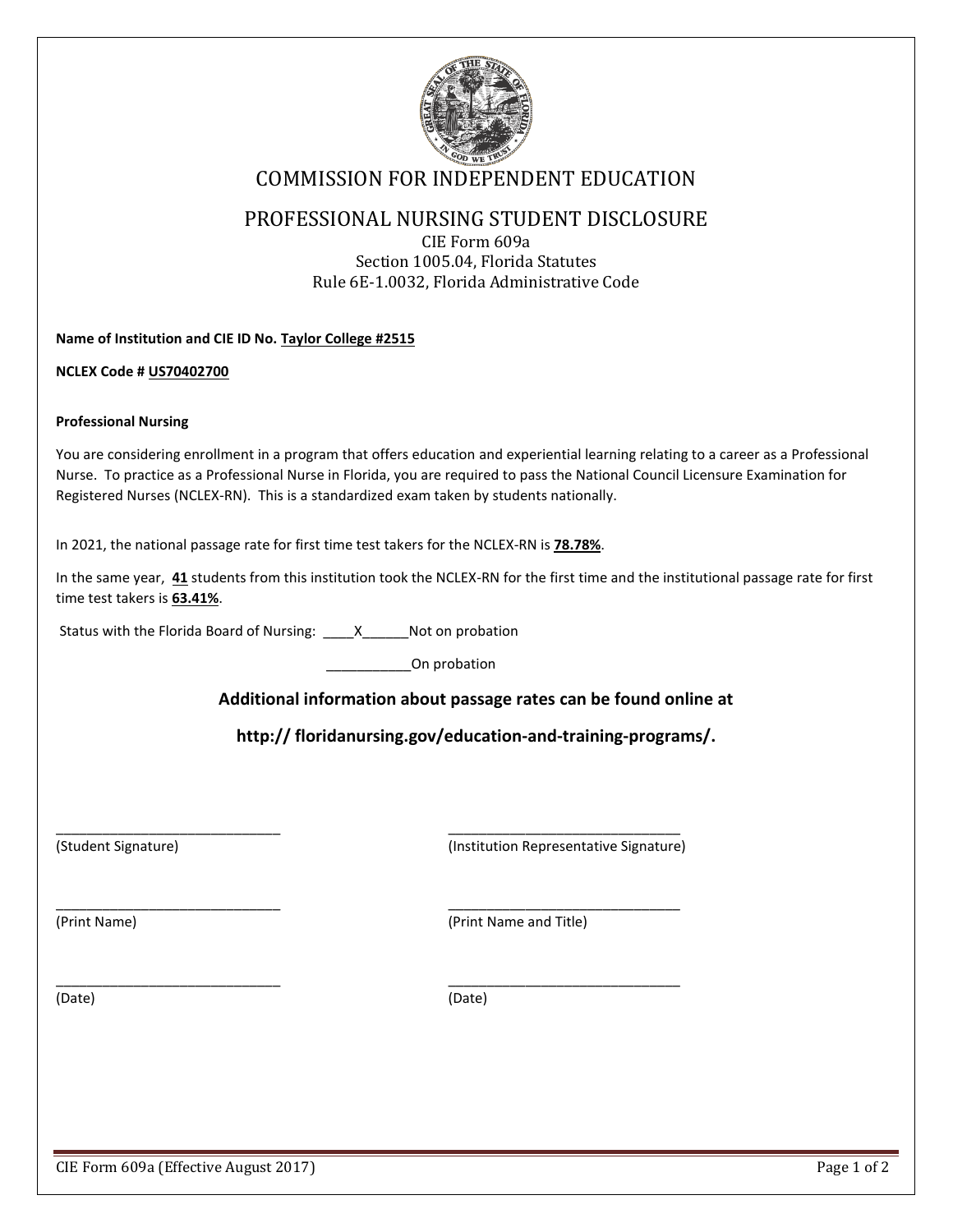

# COMMISSION FOR INDEPENDENT EDUCATION

### PROFESSIONAL NURSING STUDENT DISCLOSURE

CIE Form 609a Section 1005.04, Florida Statutes Rule 6E-1.0032, Florida Administrative Code

**Name of Institution and CIE ID No. Taylor College #2515**

**NCLEX Code # US70402700**

#### **Professional Nursing**

You are considering enrollment in a program that offers education and experiential learning relating to a career as a Professional Nurse. To practice as a Professional Nurse in Florida, you are required to pass the National Council Licensure Examination for Registered Nurses (NCLEX-RN). This is a standardized exam taken by students nationally.

In 2021, the national passage rate for first time test takers for the NCLEX-RN is **78.78%**.

In the same year, **41** students from this institution took the NCLEX-RN for the first time and the institutional passage rate for first time test takers is **63.41%**.

Status with the Florida Board of Nursing: X Not on probation

\_\_\_\_\_\_\_\_\_\_\_On probation

 $\overline{\phantom{a}}$  , and the contribution of the contribution of the contribution of the contribution of the contribution of the contribution of the contribution of the contribution of the contribution of the contribution of the

 $\overline{\phantom{a}}$  , and the contribution of the contribution of  $\overline{\phantom{a}}$  , and the contribution of  $\overline{\phantom{a}}$ 

 $\overline{\phantom{a}}$  , and the contribution of the contribution of  $\overline{\phantom{a}}$  , and the contribution of  $\overline{\phantom{a}}$ 

### **Additional information about passage rates can be found online at**

**http:// floridanursing.gov/education-and-training-programs/.**

(Student Signature) (Institution Representative Signature)

(Print Name) (Print Name and Title)

(Date) (Date)

CIE Form 609a (Effective August 2017) **Page 1** of 2